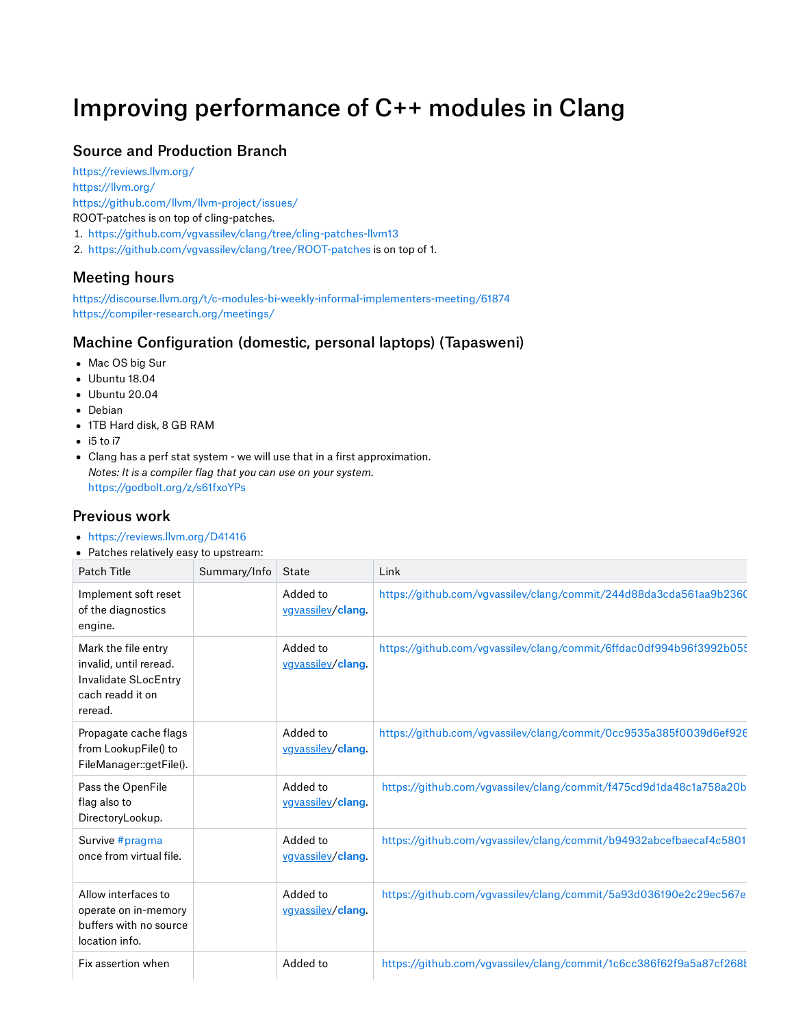# Improving performance of C++ modules in Clang

## Source and Production Branch

<https://reviews.llvm.org/> <https://llvm.org/> <https://github.com/llvm/llvm-project/issues/> ROOT-patches is on top of cling-patches.

- . <https://github.com/vgvassilev/clang/tree/cling-patches-llvm13>
- . <https://github.com/vgvassilev/clang/tree/ROOT-patches> is on top of 1.

#### Meeting hours

<https://discourse.llvm.org/t/c-modules-bi-weekly-informal-implementers-meeting/61874> <https://compiler-research.org/meetings/>

#### Machine Configuration (domestic, personal laptops) (Tapasweni)

- Mac OS big Sur
- Ubuntu 18.04
- Ubuntu 20.04
- Debian
- 1TB Hard disk, 8 GB RAM
- $\bullet$  i5 to i7
- Clang has a perf stat system we will use that in a first approximation. *Notes: It is a compiler flag that you can use on your system.* <https://godbolt.org/z/s61fxoYPs>

### Previous work

- <https://reviews.llvm.org/D41416>
- Patches relatively easy to upstream:

| Patch Title                                                                                          | Summary/Info | State                         | Link                                                                |  |  |
|------------------------------------------------------------------------------------------------------|--------------|-------------------------------|---------------------------------------------------------------------|--|--|
| Implement soft reset<br>of the diagnostics<br>engine.                                                |              | Added to<br>vgvassilev/clang. | https://github.com/vgvassilev/clang/commit/244d88da3cda561aa9b2360  |  |  |
| Mark the file entry<br>invalid, until reread.<br>Invalidate SLocEntry<br>cach readd it on<br>reread. |              | Added to<br>vgvassilev/clang  | https://github.com/vgvassilev/clang/commit/6ffdac0df994b96f3992b05! |  |  |
| Propagate cache flags<br>from LookupFile() to<br>FileManager::getFile().                             |              | Added to<br>vgvassilev/clang  | https://github.com/vgvassilev/clang/commit/0cc9535a385f0039d6ef926  |  |  |
| Pass the OpenFile<br>flag also to<br>DirectoryLookup.                                                |              | Added to<br>vgyassilev/clang. | https://github.com/vgvassilev/clang/commit/f475cd9d1da48c1a758a20b  |  |  |
| Survive #pragma<br>once from virtual file.                                                           |              | Added to<br>vgyassilev/clang  | https://github.com/vgvassilev/clang/commit/b94932abcefbaecaf4c5801  |  |  |
| Allow interfaces to<br>operate on in-memory<br>buffers with no source<br>location info.              |              | Added to<br>vgyassilev/clang  | https://github.com/vgvassilev/clang/commit/5a93d036190e2c29ec567e   |  |  |
| Fix assertion when                                                                                   |              | Added to                      | https://github.com/vgvassilev/clang/commit/1c6cc386f62f9a5a87cf268l |  |  |